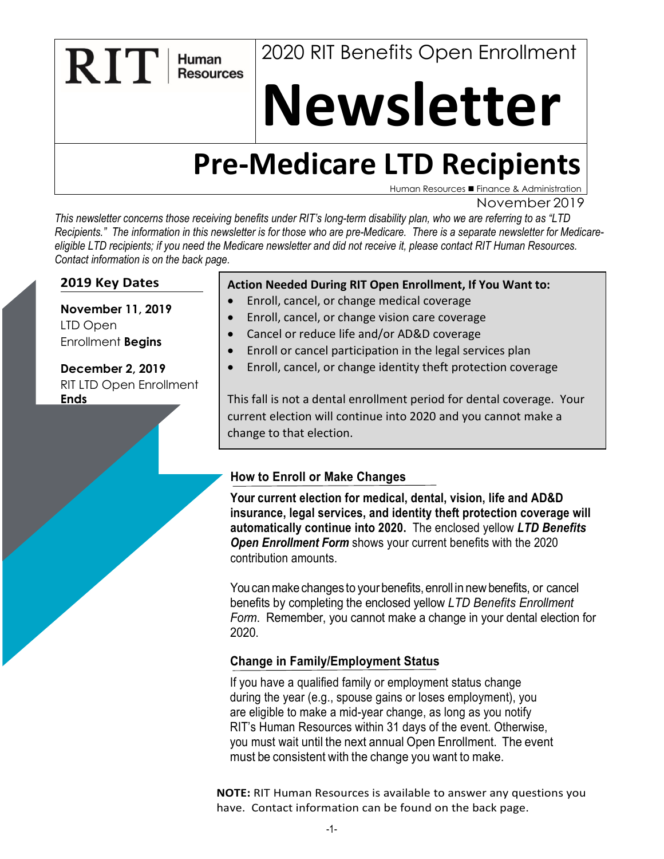2020 RIT Benefits Open Enrollment

# **Newsletter**

# **Pre-Medicare LTD Recipients**

Human Resources ■ Finance & Administration

November 2019

*This newsletter concerns those receiving benefits under RIT's long-term disability plan, who we are referring to as "LTD*  Recipients." The information in this newsletter is for those who are pre-Medicare. There is a separate newsletter for Medicare*eligible LTD recipients; if you need the Medicare newsletter and did not receive it, please contact RIT Human Resources. Contact information is on the back page.* 

# **2019 Key Dates**

**RIT** 

Human **Resources** 

**November 11, 2019**  LTD Open Enrollment **Begins**

**December 2, 2019** RIT LTD Open Enrollment **Ends**

#### **Action Needed During RIT Open Enrollment, If You Want to:**

- Enroll, cancel, or change medical coverage
- Enroll, cancel, or change vision care coverage
- Cancel or reduce life and/or AD&D coverage
- Enroll or cancel participation in the legal services plan
- Enroll, cancel, or change identity theft protection coverage

This fall is not a dental enrollment period for dental coverage. Your current election will continue into 2020 and you cannot make a change to that election.

# **How to Enroll or Make Changes**

**Your current election for medical, dental, vision, life and AD&D insurance, legal services, and identity theft protection coverage will automatically continue into 2020.** The enclosed yellow *LTD Benefits Open Enrollment Form* shows your current benefits with the 2020 contribution amounts.

You can make changes to your benefits, enroll in new benefits, or cancel benefits by completing the enclosed yellow *LTD Benefits Enrollment Form*. Remember, you cannot make a change in your dental election for 2020.

#### **Change in Family/Employment Status**

If you have a qualified family or employment status change during the year (e.g., spouse gains or loses employment), you are eligible to make a mid-year change, as long as you notify RIT's Human Resources within 31 days of the event. Otherwise, you must wait until the next annual Open Enrollment. The event must be consistent with the change you want to make.

**NOTE:** RIT Human Resources is available to answer any questions you have. Contact information can be found on the back page.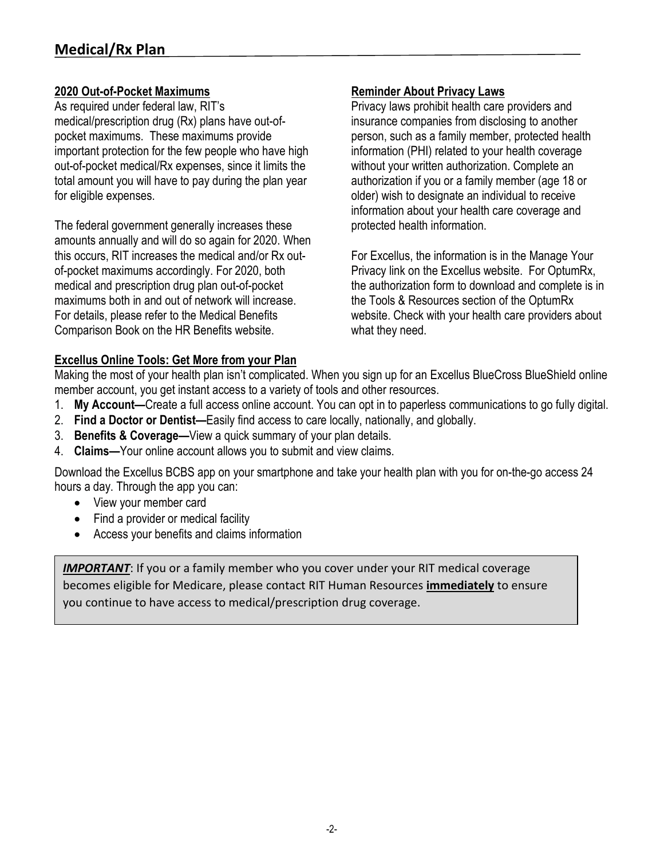#### **2020 Out-of-Pocket Maximums**

As required under federal law, RIT's medical/prescription drug (Rx) plans have out-ofpocket maximums. These maximums provide important protection for the few people who have high out-of-pocket medical/Rx expenses, since it limits the total amount you will have to pay during the plan year for eligible expenses.

The federal government generally increases these amounts annually and will do so again for 2020. When this occurs, RIT increases the medical and/or Rx outof-pocket maximums accordingly. For 2020, both medical and prescription drug plan out-of-pocket maximums both in and out of network will increase. For details, please refer to the Medical Benefits Comparison Book on the HR Benefits website.

#### **Reminder About Privacy Laws**

Privacy laws prohibit health care providers and insurance companies from disclosing to another person, such as a family member, protected health information (PHI) related to your health coverage without your written authorization. Complete an authorization if you or a family member (age 18 or older) wish to designate an individual to receive information about your health care coverage and protected health information.

For Excellus, the information is in the Manage Your Privacy link on the Excellus website. For OptumRx, the authorization form to download and complete is in the Tools & Resources section of the OptumRx website. Check with your health care providers about what they need.

# **Excellus Online Tools: Get More from your Plan**

Making the most of your health plan isn't complicated. When you sign up for an Excellus BlueCross BlueShield online member account, you get instant access to a variety of tools and other resources.

- 1. **My Account—**Create a full access online account. You can opt in to paperless communications to go fully digital.
- 2. **Find a Doctor or Dentist—**Easily find access to care locally, nationally, and globally.
- 3. **Benefits & Coverage—**View a quick summary of your plan details.
- 4. **Claims—**Your online account allows you to submit and view claims.

Download the Excellus BCBS app on your smartphone and take your health plan with you for on-the-go access 24 hours a day. Through the app you can:

- View your member card
- Find a provider or medical facility
- Access your benefits and claims information

**IMPORTANT**: If you or a family member who you cover under your RIT medical coverage becomes eligible for Medicare, please contact RIT Human Resources **immediately** to ensure you continue to have access to medical/prescription drug coverage.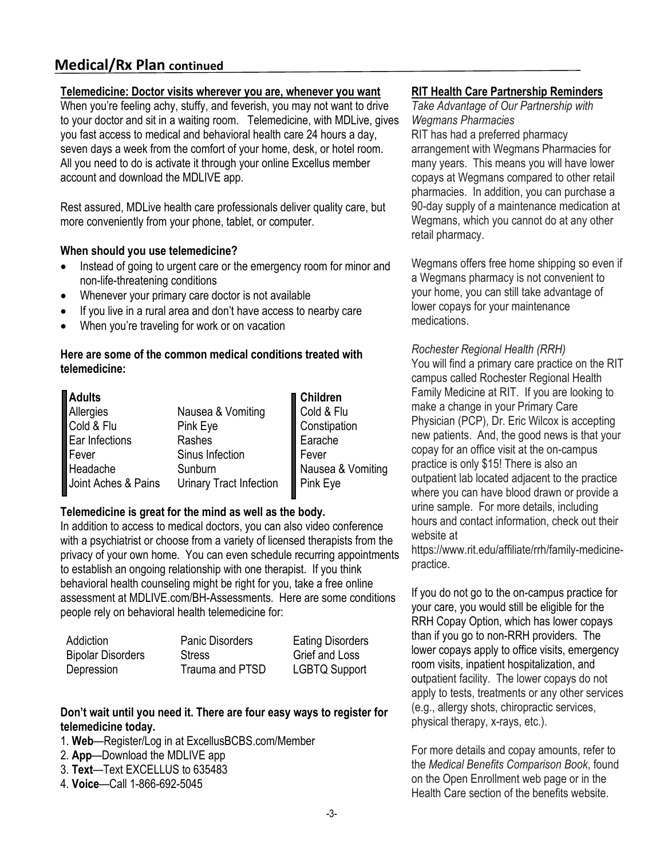# **Medical/Rx Plan continued**

#### **Telemedicine: Doctor visits wherever you are, whenever you want**

When you're feeling achy, stuffy, and feverish, you may not want to drive to your doctor and sit in a waiting room. Telemedicine, with MDLive, gives you fast access to medical and behavioral health care 24 hours a day, seven days a week from the comfort of your home, desk, or hotel room. All you need to do is activate it through your online Excellus member account and download the MDLIVE app.

Rest assured, MDLive health care professionals deliver quality care, but more conveniently from your phone, tablet, or computer.

#### **When should you use telemedicine?**

- Instead of going to urgent care or the emergency room for minor and non-life-threatening conditions
- Whenever your primary care doctor is not available
- If you live in a rural area and don't have access to nearby care
- When you're traveling for work or on vacation

#### **Here are some of the common medical conditions treated with telemedicine:**

| Adults                  |                         | <b>■</b> Children |
|-------------------------|-------------------------|-------------------|
|                         | Nausea & Vomiting       | Cold & Flu        |
| Allergies<br>Cold & Flu | Pink Eye                | Constipation      |
| Ear Infections          | Rashes                  | Earache           |
| $\blacksquare$ Fever    | Sinus Infection         | Fever             |
| Headache                | Sunburn                 | Nausea & Vomiting |
| Joint Aches & Pains     | Urinary Tract Infection | Pink Eye          |

#### **Telemedicine is great for the mind as well as the body.**

In addition to access to medical doctors, you can also video conference with a psychiatrist or choose from a variety of licensed therapists from the privacy of your own home. You can even schedule recurring appointments to establish an ongoing relationship with one therapist. If you think behavioral health counseling might be right for you, take a free online assessment at MDLIVE.com/BH-Assessments. Here are some conditions people rely on behavioral health telemedicine for:

| Addiction                | <b>Panic Disorders</b> | <b>Eating Disorders</b> |
|--------------------------|------------------------|-------------------------|
| <b>Bipolar Disorders</b> | Stress                 | Grief and Loss          |
| Depression               | Trauma and PTSD        | <b>LGBTQ Support</b>    |

#### **Don't wait until you need it. There are four easy ways to register for telemedicine today.**

- 1. **Web**—Register/Log in at ExcellusBCBS.com/Member
- 2. **App**—Download the MDLIVE app
- 3. **Text**—Text EXCELLUS to 635483
- 4. **Voice**—Call 1-866-692-5045

#### **RIT Health Care Partnership Reminders**

*Take Advantage of Our Partnership with Wegmans Pharmacies*  RIT has had a preferred pharmacy arrangement with Wegmans Pharmacies for many years. This means you will have lower copays at Wegmans compared to other retail pharmacies. In addition, you can purchase a 90-day supply of a maintenance medication at Wegmans, which you cannot do at any other retail pharmacy.

Wegmans offers free home shipping so even if a Wegmans pharmacy is not convenient to your home, you can still take advantage of lower copays for your maintenance medications.

#### *Rochester Regional Health (RRH)*

You will find a primary care practice on the RIT campus called Rochester Regional Health Family Medicine at RIT. If you are looking to make a change in your Primary Care Physician (PCP), Dr. Eric Wilcox is accepting new patients. And, the good news is that your copay for an office visit at the on-campus practice is only \$15! There is also an outpatient lab located adjacent to the practice where you can have blood drawn or provide a urine sample. For more details, including hours and contact information, check out their website at

https://www.rit.edu/affiliate/rrh/family-medicinepractice.

If you do not go to the on-campus practice for your care, you would still be eligible for the RRH Copay Option, which has lower copays than if you go to non-RRH providers. The lower copays apply to office visits, emergency room visits, inpatient hospitalization, and outpatient facility. The lower copays do not apply to tests, treatments or any other services (e.g., allergy shots, chiropractic services, physical therapy, x-rays, etc.).

For more details and copay amounts, refer to the *Medical Benefits Comparison Book*, found on the Open Enrollment web page or in the Health Care section of the benefits website.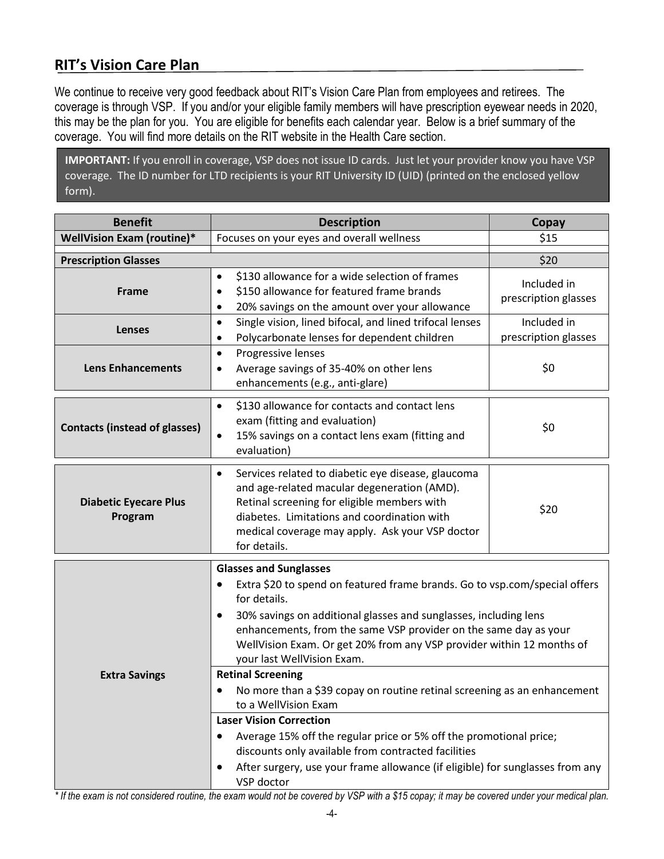# **RIT's Vision Care Plan**

We continue to receive very good feedback about RIT's Vision Care Plan from employees and retirees. The coverage is through VSP. If you and/or your eligible family members will have prescription eyewear needs in 2020, this may be the plan for you. You are eligible for benefits each calendar year. Below is a brief summary of the coverage. You will find more details on the RIT website in the Health Care section.

**IMPORTANT:** If you enroll in coverage, VSP does not issue ID cards. Just let your provider know you have VSP coverage. The ID number for LTD recipients is your RIT University ID (UID) (printed on the enclosed yellow form).

| <b>Benefit</b>                          | <b>Description</b>                                                                                                                                                                                                                                                                                                                                                                                                                                                                                                                                                                                                                                                                                                                                                                                   | Copay                               |
|-----------------------------------------|------------------------------------------------------------------------------------------------------------------------------------------------------------------------------------------------------------------------------------------------------------------------------------------------------------------------------------------------------------------------------------------------------------------------------------------------------------------------------------------------------------------------------------------------------------------------------------------------------------------------------------------------------------------------------------------------------------------------------------------------------------------------------------------------------|-------------------------------------|
| <b>WellVision Exam (routine)*</b>       | Focuses on your eyes and overall wellness                                                                                                                                                                                                                                                                                                                                                                                                                                                                                                                                                                                                                                                                                                                                                            | \$15                                |
| <b>Prescription Glasses</b>             |                                                                                                                                                                                                                                                                                                                                                                                                                                                                                                                                                                                                                                                                                                                                                                                                      | \$20                                |
| Frame                                   | \$130 allowance for a wide selection of frames<br>$\bullet$<br>\$150 allowance for featured frame brands<br>٠<br>20% savings on the amount over your allowance<br>٠                                                                                                                                                                                                                                                                                                                                                                                                                                                                                                                                                                                                                                  | Included in<br>prescription glasses |
| <b>Lenses</b>                           | Single vision, lined bifocal, and lined trifocal lenses<br>$\bullet$<br>Polycarbonate lenses for dependent children<br>٠                                                                                                                                                                                                                                                                                                                                                                                                                                                                                                                                                                                                                                                                             | Included in<br>prescription glasses |
| <b>Lens Enhancements</b>                | Progressive lenses<br>$\bullet$<br>Average savings of 35-40% on other lens<br>٠<br>enhancements (e.g., anti-glare)                                                                                                                                                                                                                                                                                                                                                                                                                                                                                                                                                                                                                                                                                   | \$0                                 |
| <b>Contacts (instead of glasses)</b>    | \$130 allowance for contacts and contact lens<br>$\bullet$<br>exam (fitting and evaluation)<br>15% savings on a contact lens exam (fitting and<br>$\bullet$<br>evaluation)                                                                                                                                                                                                                                                                                                                                                                                                                                                                                                                                                                                                                           | \$0                                 |
| <b>Diabetic Eyecare Plus</b><br>Program | Services related to diabetic eye disease, glaucoma<br>$\bullet$<br>and age-related macular degeneration (AMD).<br>Retinal screening for eligible members with<br>diabetes. Limitations and coordination with<br>medical coverage may apply. Ask your VSP doctor<br>for details.                                                                                                                                                                                                                                                                                                                                                                                                                                                                                                                      | \$20                                |
| <b>Extra Savings</b>                    | <b>Glasses and Sunglasses</b><br>Extra \$20 to spend on featured frame brands. Go to vsp.com/special offers<br>$\bullet$<br>for details.<br>30% savings on additional glasses and sunglasses, including lens<br>٠<br>enhancements, from the same VSP provider on the same day as your<br>WellVision Exam. Or get 20% from any VSP provider within 12 months of<br>your last WellVision Exam.<br><b>Retinal Screening</b><br>No more than a \$39 copay on routine retinal screening as an enhancement<br>٠<br>to a WellVision Exam<br><b>Laser Vision Correction</b><br>Average 15% off the regular price or 5% off the promotional price;<br>discounts only available from contracted facilities<br>After surgery, use your frame allowance (if eligible) for sunglasses from any<br>٠<br>VSP doctor |                                     |

*\* If the exam is not considered routine, the exam would not be covered by VSP with a \$15 copay; it may be covered under your medical plan.*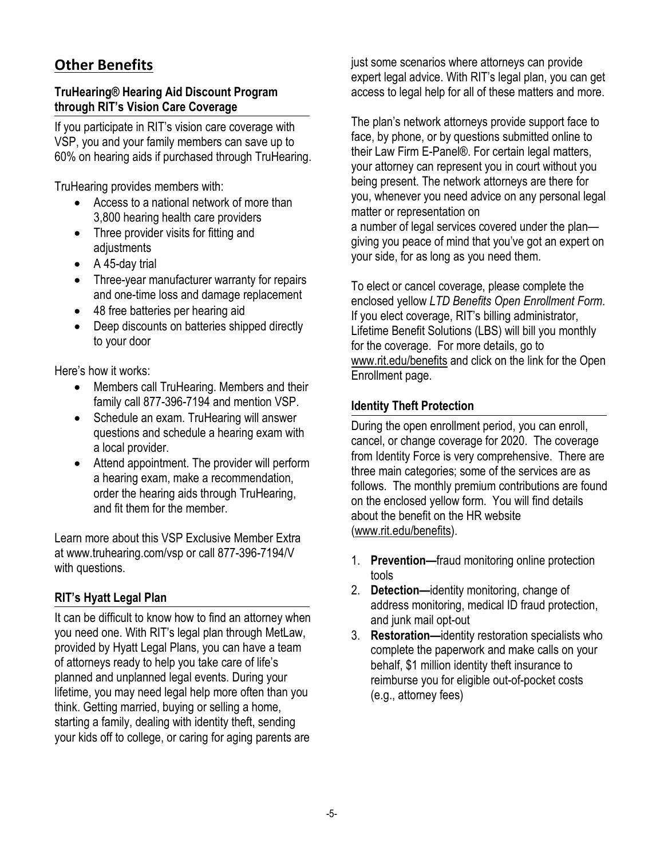# **Other Benefits**

#### **TruHearing® Hearing Aid Discount Program through RIT's Vision Care Coverage**

If you participate in RIT's vision care coverage with VSP, you and your family members can save up to 60% on hearing aids if purchased through TruHearing.

TruHearing provides members with:

- Access to a national network of more than 3,800 hearing health care providers
- Three provider visits for fitting and adjustments
- A 45-day trial
- Three-year manufacturer warranty for repairs and one-time loss and damage replacement
- 48 free batteries per hearing aid
- Deep discounts on batteries shipped directly to your door

Here's how it works:

- Members call TruHearing. Members and their family call 877-396-7194 and mention VSP.
- Schedule an exam. TruHearing will answer questions and schedule a hearing exam with a local provider.
- Attend appointment. The provider will perform a hearing exam, make a recommendation, order the hearing aids through TruHearing, and fit them for the member.

Learn more about this VSP Exclusive Member Extra at [www.truhearing.com/vsp o](http://www.truhearing.com/vsp)r call 877-396-7194/V with questions.

# **RIT's Hyatt Legal Plan**

It can be difficult to know how to find an attorney when you need one. With RIT's legal plan through MetLaw, provided by Hyatt Legal Plans, you can have a team of attorneys ready to help you take care of life's planned and unplanned legal events. During your lifetime, you may need legal help more often than you think. Getting married, buying or selling a home, starting a family, dealing with identity theft, sending your kids off to college, or caring for aging parents are

just some scenarios where attorneys can provide expert legal advice. With RIT's legal plan, you can get access to legal help for all of these matters and more.

The plan's network attorneys provide support face to face, by phone, or by questions submitted online to their Law Firm E-Panel®. For certain legal matters, your attorney can represent you in court without you being present. The network attorneys are there for you, whenever you need advice on any personal legal matter or representation on

a number of legal services covered under the plan giving you peace of mind that you've got an expert on your side, for as long as you need them.

To elect or cancel coverage, please complete the enclosed yellow *LTD Benefits Open Enrollment Form*. If you elect coverage, RIT's billing administrator, Lifetime Benefit Solutions (LBS) will bill you monthly for the coverage. For more details, go to [www.rit.edu/benefits](http://www.rit.edu/benefits) and click on the link for the Open Enrollment page.

# **Identity Theft Protection**

During the open enrollment period, you can enroll, cancel, or change coverage for 2020. The coverage from Identity Force is very comprehensive. There are three main categories; some of the services are as follows. The monthly premium contributions are found on the enclosed yellow form. You will find details about the benefit on the HR website [\(www.rit.edu/benefits\)](http://www.rit.edu/benefits).

- 1. **Prevention—**fraud monitoring online protection tools
- 2. **Detection—**identity monitoring, change of address monitoring, medical ID fraud protection, and junk mail opt-out
- 3. **Restoration—**identity restoration specialists who complete the paperwork and make calls on your behalf, \$1 million identity theft insurance to reimburse you for eligible out-of-pocket costs (e.g., attorney fees)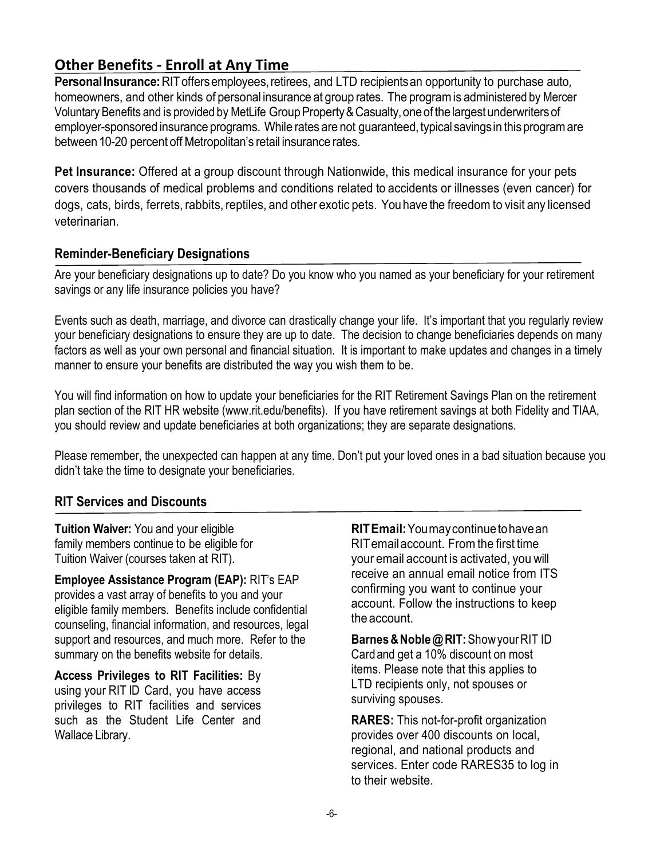# **Other Benefits - Enroll at Any Time**

Personal Insurance: RIT offers employees, retirees, and LTD recipients an opportunity to purchase auto, homeowners, and other kinds of personal insurance at group rates. The programis administered by Mercer Voluntary Benefits and is provided by MetLife Group Property & Casualty, one of the largest underwriters of employer-sponsored insurance programs. While rates are not guaranteed, typical savings in this program are between 10-20 percent off Metropolitan's retail insurance rates.

**Pet Insurance:** Offered at a group discount through Nationwide, this medical insurance for your pets covers thousands of medical problems and conditions related to accidents or illnesses (even cancer) for dogs, cats, birds, ferrets, rabbits, reptiles, and other exotic pets. You have the freedomto visit any licensed veterinarian.

# **Reminder-Beneficiary Designations**

Are your beneficiary designations up to date? Do you know who you named as your beneficiary for your retirement savings or any life insurance policies you have?

Events such as death, marriage, and divorce can drastically change your life. It's important that you regularly review your beneficiary designations to ensure they are up to date. The decision to change beneficiaries depends on many factors as well as your own personal and financial situation. It is important to make updates and changes in a timely manner to ensure your benefits are distributed the way you wish them to be.

You will find information on how to update your beneficiaries for the RIT Retirement Savings Plan on the retirement plan section of the RIT HR website (www.rit.edu/benefits). If you have retirement savings at both Fidelity and TIAA, you should review and update beneficiaries at both organizations; they are separate designations.

Please remember, the unexpected can happen at any time. Don't put your loved ones in a bad situation because you didn't take the time to designate your beneficiaries.

# **RIT Services and Discounts**

**Tuition Waiver:** You and your eligible family members continue to be eligible for Tuition Waiver (courses taken at RIT).

**Employee Assistance Program (EAP):** RIT's EAP provides a vast array of benefits to you and your eligible family members. Benefits include confidential counseling, financial information, and resources, legal support and resources, and much more. Refer to the summary on the benefits website for details.

**Access Privileges to RIT Facilities:** By using your RIT ID Card, you have access privileges to RIT facilities and services such as the Student Life Center and Wallace Library.

**RITEmail:**Youmaycontinuetohavean RITemailaccount. Fromthe first time your email account is activated, you will receive an annual email notice from ITS confirming you want to continue your account. Follow the instructions to keep the account.

**Barnes&Noble@RIT:**ShowyourRIT ID Cardand get a 10% discount on most items. Please note that this applies to LTD recipients only, not spouses or surviving spouses.

**RARES:** This not-for-profit organization provides over 400 discounts on local, regional, and national products and services. Enter code RARES35 to log in to their website.